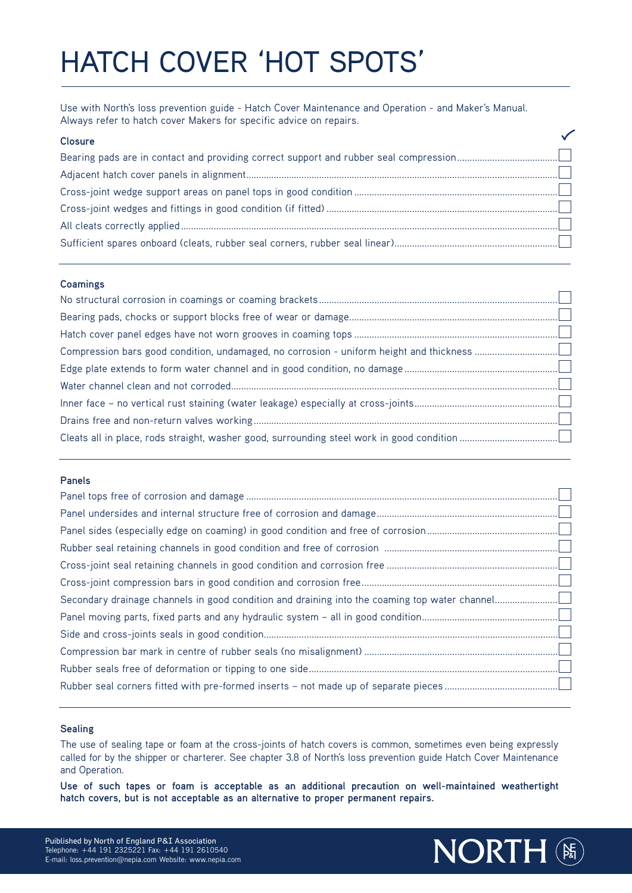# HATCH COVER 'HOT SPOTS'

Use with North's loss prevention guide - Hatch Cover Maintenance and Operation - and Maker's Manual. Always refer to hatch cover Makers for specific advice on repairs.

### **Closure** Bearing pads are in contact and providing correct support and rubber seal compression........................................ Adjacent hatch cover panels in alignment............................................................................................................................ Cross-joint wedge support areas on panel tops in good condition ................................................................................. Cross-joint wedges and fittings in good condition (if fitted) ............................................................................................ All cleats correctly applied...................................................................................................................................................... Sufficient spares onboard (cleats, rubber seal corners, rubber seal linear).................................................................

#### **Coamings**

#### **Panels**

#### **Sealing**

The use of sealing tape or foam at the cross-joints of hatch covers is common, sometimes even being expressly called for by the shipper or charterer. See chapter 3.8 of North's loss prevention guide Hatch Cover Maintenance and Operation.

**Use of such tapes or foam is acceptable as an additional precaution on well-maintained weathertight hatch covers, but is not acceptable as an alternative to proper permanent repairs.**